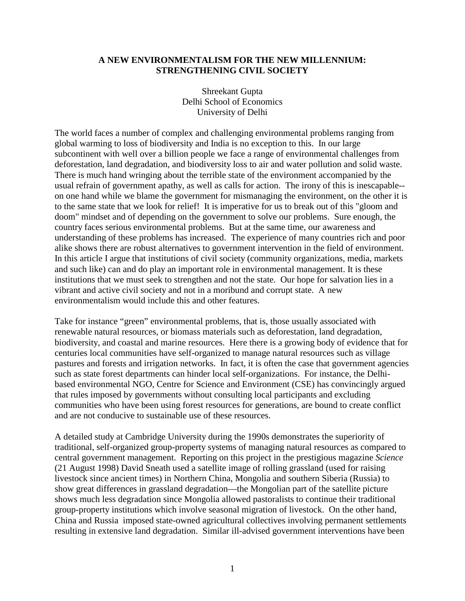## **A NEW ENVIRONMENTALISM FOR THE NEW MILLENNIUM: STRENGTHENING CIVIL SOCIETY**

Shreekant Gupta Delhi School of Economics University of Delhi

The world faces a number of complex and challenging environmental problems ranging from global warming to loss of biodiversity and India is no exception to this. In our large subcontinent with well over a billion people we face a range of environmental challenges from deforestation, land degradation, and biodiversity loss to air and water pollution and solid waste. There is much hand wringing about the terrible state of the environment accompanied by the usual refrain of government apathy, as well as calls for action. The irony of this is inescapable- on one hand while we blame the government for mismanaging the environment, on the other it is to the same state that we look for relief! It is imperative for us to break out of this "gloom and doom" mindset and of depending on the government to solve our problems. Sure enough, the country faces serious environmental problems. But at the same time, our awareness and understanding of these problems has increased. The experience of many countries rich and poor alike shows there are robust alternatives to government intervention in the field of environment. In this article I argue that institutions of civil society (community organizations, media, markets and such like) can and do play an important role in environmental management. It is these institutions that we must seek to strengthen and not the state. Our hope for salvation lies in a vibrant and active civil society and not in a moribund and corrupt state. A new environmentalism would include this and other features.

Take for instance "green" environmental problems, that is, those usually associated with renewable natural resources, or biomass materials such as deforestation, land degradation, biodiversity, and coastal and marine resources. Here there is a growing body of evidence that for centuries local communities have self-organized to manage natural resources such as village pastures and forests and irrigation networks. In fact, it is often the case that government agencies such as state forest departments can hinder local self-organizations. For instance, the Delhibased environmental NGO, Centre for Science and Environment (CSE) has convincingly argued that rules imposed by governments without consulting local participants and excluding communities who have been using forest resources for generations, are bound to create conflict and are not conducive to sustainable use of these resources.

A detailed study at Cambridge University during the 1990s demonstrates the superiority of traditional, self-organized group-property systems of managing natural resources as compared to central government management. Reporting on this project in the prestigious magazine *Science* (21 August 1998) David Sneath used a satellite image of rolling grassland (used for raising livestock since ancient times) in Northern China, Mongolia and southern Siberia (Russia) to show great differences in grassland degradation—the Mongolian part of the satellite picture shows much less degradation since Mongolia allowed pastoralists to continue their traditional group-property institutions which involve seasonal migration of livestock. On the other hand, China and Russia imposed state-owned agricultural collectives involving permanent settlements resulting in extensive land degradation. Similar ill-advised government interventions have been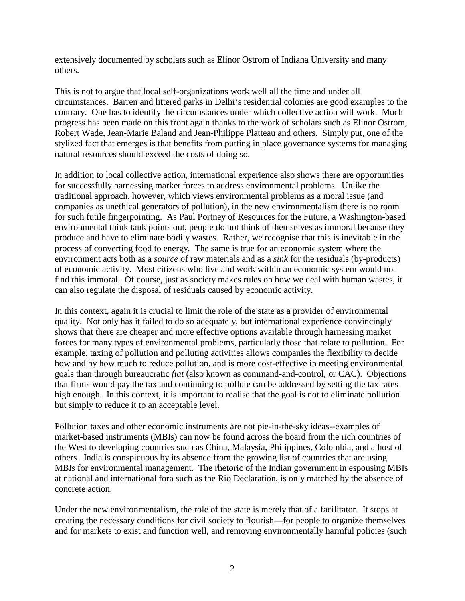extensively documented by scholars such as Elinor Ostrom of Indiana University and many others.

This is not to argue that local self-organizations work well all the time and under all circumstances. Barren and littered parks in Delhi's residential colonies are good examples to the contrary. One has to identify the circumstances under which collective action will work. Much progress has been made on this front again thanks to the work of scholars such as Elinor Ostrom, Robert Wade, Jean-Marie Baland and Jean-Philippe Platteau and others. Simply put, one of the stylized fact that emerges is that benefits from putting in place governance systems for managing natural resources should exceed the costs of doing so.

In addition to local collective action, international experience also shows there are opportunities for successfully harnessing market forces to address environmental problems. Unlike the traditional approach, however, which views environmental problems as a moral issue (and companies as unethical generators of pollution), in the new environmentalism there is no room for such futile fingerpointing. As Paul Portney of Resources for the Future, a Washington-based environmental think tank points out, people do not think of themselves as immoral because they produce and have to eliminate bodily wastes. Rather, we recognise that this is inevitable in the process of converting food to energy. The same is true for an economic system where the environment acts both as a *source* of raw materials and as a *sink* for the residuals (by-products) of economic activity. Most citizens who live and work within an economic system would not find this immoral. Of course, just as society makes rules on how we deal with human wastes, it can also regulate the disposal of residuals caused by economic activity.

In this context, again it is crucial to limit the role of the state as a provider of environmental quality. Not only has it failed to do so adequately, but international experience convincingly shows that there are cheaper and more effective options available through harnessing market forces for many types of environmental problems, particularly those that relate to pollution. For example, taxing of pollution and polluting activities allows companies the flexibility to decide how and by how much to reduce pollution, and is more cost-effective in meeting environmental goals than through bureaucratic *fiat* (also known as command-and-control, or CAC). Objections that firms would pay the tax and continuing to pollute can be addressed by setting the tax rates high enough. In this context, it is important to realise that the goal is not to eliminate pollution but simply to reduce it to an acceptable level.

Pollution taxes and other economic instruments are not pie-in-the-sky ideas--examples of market-based instruments (MBIs) can now be found across the board from the rich countries of the West to developing countries such as China, Malaysia, Philippines, Colombia, and a host of others. India is conspicuous by its absence from the growing list of countries that are using MBIs for environmental management. The rhetoric of the Indian government in espousing MBIs at national and international fora such as the Rio Declaration, is only matched by the absence of concrete action.

Under the new environmentalism, the role of the state is merely that of a facilitator. It stops at creating the necessary conditions for civil society to flourish—for people to organize themselves and for markets to exist and function well, and removing environmentally harmful policies (such